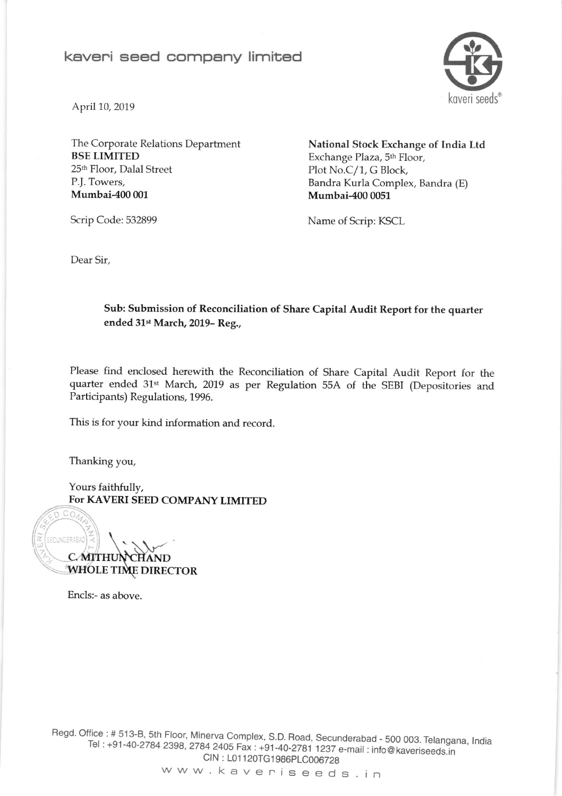## keveni seed eompeny limited



April 10, 2019

The Corporate Relations Department **BSE LIMITED** 25<sup>th</sup> Floor, Dalal Street P.J. Towers, Mumbai-400 001

National Stock Exchange of India Ltd Exchange Plaza, 5<sup>th</sup> Floor, Plot No.C/1, G Block, Bandra Kurla Complex, Bandra (E) Mumbai-4O0 0051

Scrip Code: 532899

Name of Scrip: KSCL

Dear Sir,

#### Sub: Submission of Reconciliation of Share Capital Audit Report for the quarter ended 31st March, 2019- Reg.,

Please find enclosed herewith the Reconciliation of share Capital Audit Report for the quarter ended 31st March, 2019 as per Regulation 55A of the SEBI (Depositories and Participants) Regulations, 1996.

This is for your kind in{ormation and record.

Thanking you,

Yours faithfully, FoT KAVERI SEED COMPANY LIMITED

 $CO$ ECUNDERABAD C.MITH HOLE TIME DIRECTOR

Encls:- as above.

Regd. Office : # 513-B, 5th Floor, Minerva Complex, S.D. Road, Secunderabad - 500 003. Telangana, India : +91<br>Tel : +91-40-2784 2398, 2784 2405 Fax : +91-40-2781 1237 e-mail : info@kaveriseeds.in Tel : +91-40-2784 2398, 2784 2405 Fax : +91-40-2781 1237 e-mail : info@kaveriseeds.in<br>CIN : L01120TG1986PLC006728 CIN: L01120TG1986PLC006728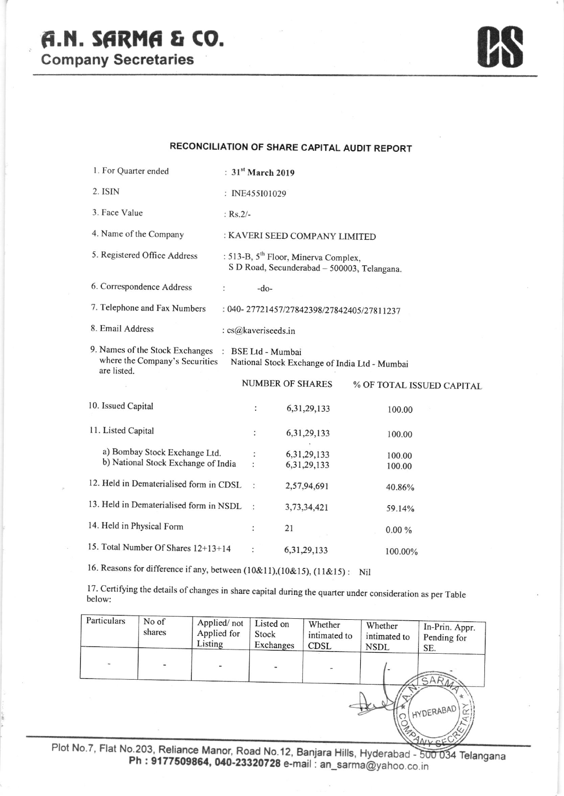# A.N. SARMA & CO.

**Company Secretaries** 



#### RECONCILIATION OF SHARE CAPITAL AUDIT REPORT

| 1. For Quarter ended                                                             | : $31st March 2019$           |                                                                                                 |                           |  |  |
|----------------------------------------------------------------------------------|-------------------------------|-------------------------------------------------------------------------------------------------|---------------------------|--|--|
| 2. ISIN                                                                          | : INE455I01029                |                                                                                                 |                           |  |  |
| 3. Face Value                                                                    | : $Rs.2/-$                    |                                                                                                 |                           |  |  |
| 4. Name of the Company                                                           | : KAVERI SEED COMPANY LIMITED |                                                                                                 |                           |  |  |
| 5. Registered Office Address                                                     |                               | : 513-B, 5 <sup>th</sup> Floor, Minerva Complex,<br>S D Road, Secunderabad - 500003, Telangana. |                           |  |  |
| 6. Correspondence Address<br>$\ddot{\phantom{0}}$                                | $-do-$                        |                                                                                                 |                           |  |  |
| 7. Telephone and Fax Numbers                                                     |                               | : 040-27721457/27842398/27842405/27811237                                                       |                           |  |  |
| 8. Email Address                                                                 | : cs@kaveriseeds.in           |                                                                                                 |                           |  |  |
| 9. Names of the Stock Exchanges<br>where the Company's Securities<br>are listed. | : BSE Ltd - Mumbai            | National Stock Exchange of India Ltd - Mumbai                                                   |                           |  |  |
|                                                                                  |                               | <b>NUMBER OF SHARES</b>                                                                         | % OF TOTAL ISSUED CAPITAL |  |  |
| 10. Issued Capital                                                               | $\ddot{\phantom{a}}$          | 6, 31, 29, 133                                                                                  | 100.00                    |  |  |
| 11. Listed Capital                                                               |                               | 6, 31, 29, 133                                                                                  | 100.00                    |  |  |
| a) Bombay Stock Exchange Ltd.<br>b) National Stock Exchange of India             | $\ddot{\phantom{0}}$          | 6, 31, 29, 133<br>6, 31, 29, 133                                                                | 100.00<br>100.00          |  |  |
| 12. Held in Dematerialised form in CDSL                                          | $\ddot{\cdot}$                | 2,57,94,691                                                                                     | 40.86%                    |  |  |
| 13. Held in Dematerialised form in NSDL                                          | $\ddot{\cdot}$                | 3,73,34,421                                                                                     | 59.14%                    |  |  |
| 14. Held in Physical Form                                                        |                               | 21                                                                                              | 0.00%                     |  |  |
| 15. Total Number Of Shares 12+13+14                                              | $\ddot{\phantom{0}}$          | 6, 31, 29, 133                                                                                  | 100.00%                   |  |  |

16. Reasons for difference if any, between (10&11),(10&15), (11&15): Nil

17. Certifying the details of changes in share capital during the quarter under consideration as per Table below:

| Particulars | No of<br>shares          | Applied/not<br>Applied for<br>Listing | Listed on<br>Stock<br>Exchanges | Whether<br>intimated to<br><b>CDSL</b> | Whether<br>intimated to<br>NSDL | In-Prin. Appr.<br>Pending for<br>SE. |
|-------------|--------------------------|---------------------------------------|---------------------------------|----------------------------------------|---------------------------------|--------------------------------------|
|             | $\overline{\phantom{a}}$ |                                       |                                 |                                        | $\overline{a}$                  | SARN                                 |
|             |                          |                                       |                                 |                                        | <b>1940</b>                     | $\star$<br>(HYDERABAD).              |

Plot No.7, Flat No.203, Reliance Manor, Road No.12, Banjara Hills, Hyderabad - 500 034 Telangana Ph: 9177509864, 040-23320728 e-mail: an\_sarma@yahoo.co.in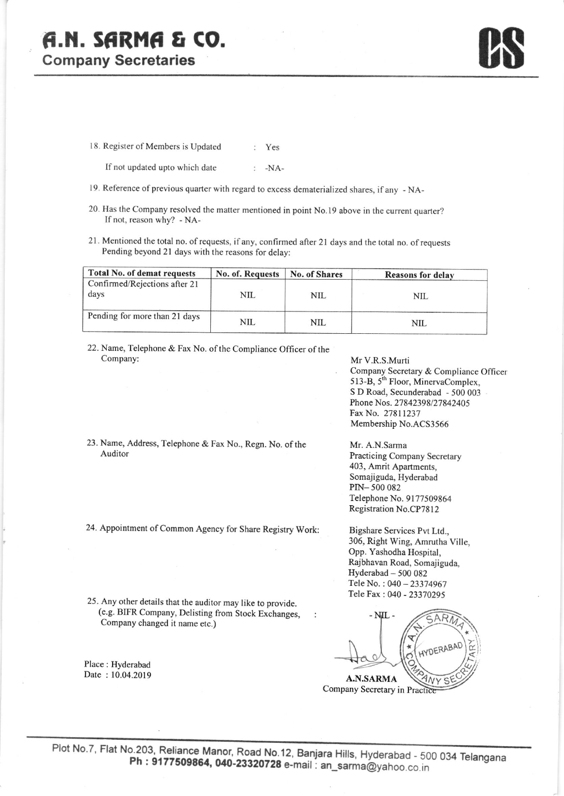# F.A. SARMA & CO.

**Company Secretaries** 

18. Register of Members is Updated : Yes

| If not updated upto which date | $-NA-$ |
|--------------------------------|--------|
|--------------------------------|--------|

- 19. Reference of previous quarter with regard to excess dematerialized shares, if any NA-
- 20. Has the Company resolved the matter mentioned in point No.l9 above in the current quarter? If not, reason why? - NA-
- 21. Mentioned the total no. of requests, if any, confirmed after 21 days and the total no. of requests Pending beyond 2l days with the reasons for delay:

| Total No. of demat requests           | No. of. Requests | <b>No. of Shares</b> | <b>Reasons for delay</b> |
|---------------------------------------|------------------|----------------------|--------------------------|
| Confirmed/Rejections after 21<br>days | NIL              | $_{\rm NIL}$         | NIL                      |
| Pending for more than 21 days         | NIL              | NIL                  | NIL.                     |

- 22. Name, Telephone & Fax No. of the Compliance Officer of the Company:
- 23. Name, Address, Telephone & Fax No., Regn. No. of the Auditor
- 24. Appointment of Common Agency for Share Registry Work:

Mr V.R.S.Murti Company Secretary & Compliance Officer 513-B, 5<sup>th</sup> Floor, MinervaComplex, S D Road, Secunderabad - 500 003 Phone Nos. 27842398/27842405 Fax No. 27811237 Membership No.ACS3566

Mr. A.N.Sarma Practicing Company Secretary 403, Amrit Apartments, Somajiguda, Hyderabad PrN- 500 082 Telephone No. 9177509864 Registration No.CP78l2

Bigshare Services Pvt Ltd., 306, Right Wing, Amrutha Ville, Opp. Yashodha Hospital, Rajbhavan Road, Somajiguda, Hyderabad - 500 082 Tele No. : 040 - 23374967 Tele Fax : 040 - 23370295

 $- NIL$ c.AR  $\mathbb{R}$  $H_{10}$ A.N.SARMA

Company Secretary in Practice

25. Any other derails that the auditor may like to provide. (e.g. BIFR Company, Delisting from Stock Exchanges, Company changed it name etc.)

Place : Hyderabad Date : 10.04.2019  $\ddot{\phantom{a}}$